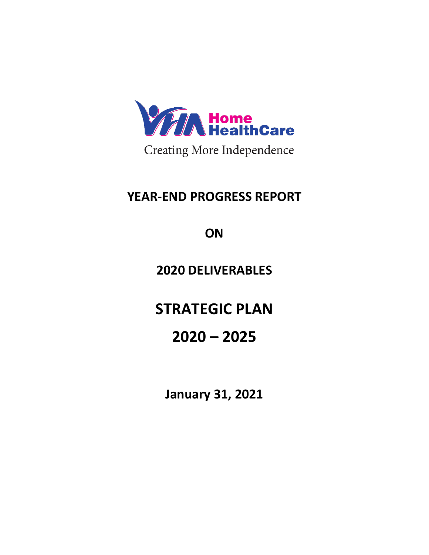

**Creating More Independence** 

## **YEAR-END PROGRESS REPORT**

**ON**

## **2020 DELIVERABLES**

**STRATEGIC PLAN**

# **2020 – 2025**

**January 31, 2021**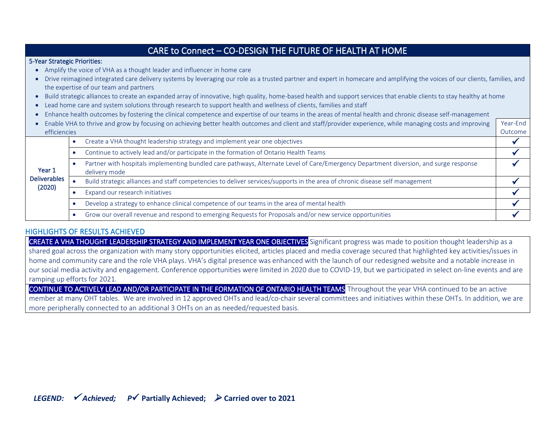| CARE to Connect - CO-DESIGN THE FUTURE OF HEALTH AT HOME                                                                                                                     |           |                                                                                                                                                        |          |  |  |
|------------------------------------------------------------------------------------------------------------------------------------------------------------------------------|-----------|--------------------------------------------------------------------------------------------------------------------------------------------------------|----------|--|--|
| 5-Year Strategic Priorities:                                                                                                                                                 |           |                                                                                                                                                        |          |  |  |
| Amplify the voice of VHA as a thought leader and influencer in home care                                                                                                     |           |                                                                                                                                                        |          |  |  |
| Drive reimagined integrated care delivery systems by leveraging our role as a trusted partner and expert in homecare and amplifying the voices of our clients, families, and |           |                                                                                                                                                        |          |  |  |
| the expertise of our team and partners                                                                                                                                       |           |                                                                                                                                                        |          |  |  |
| Build strategic alliances to create an expanded array of innovative, high quality, home-based health and support services that enable clients to stay healthy at home        |           |                                                                                                                                                        |          |  |  |
| Lead home care and system solutions through research to support health and wellness of clients, families and staff                                                           |           |                                                                                                                                                        |          |  |  |
| Enhance health outcomes by fostering the clinical competence and expertise of our teams in the areas of mental health and chronic disease self-management                    |           |                                                                                                                                                        |          |  |  |
| Enable VHA to thrive and grow by focusing on achieving better health outcomes and client and staff/provider experience, while managing costs and improving                   |           |                                                                                                                                                        | Year-End |  |  |
| efficiencies                                                                                                                                                                 |           |                                                                                                                                                        | Outcome  |  |  |
| Year 1<br><b>Deliverables</b><br>(2020)                                                                                                                                      | $\bullet$ | Create a VHA thought leadership strategy and implement year one objectives                                                                             |          |  |  |
|                                                                                                                                                                              | ٠         | Continue to actively lead and/or participate in the formation of Ontario Health Teams                                                                  |          |  |  |
|                                                                                                                                                                              | $\bullet$ | Partner with hospitals implementing bundled care pathways, Alternate Level of Care/Emergency Department diversion, and surge response<br>delivery mode |          |  |  |
|                                                                                                                                                                              |           | Build strategic alliances and staff competencies to deliver services/supports in the area of chronic disease self management                           |          |  |  |
|                                                                                                                                                                              |           | Expand our research initiatives                                                                                                                        |          |  |  |
|                                                                                                                                                                              |           | Develop a strategy to enhance clinical competence of our teams in the area of mental health                                                            |          |  |  |
|                                                                                                                                                                              | $\bullet$ | Grow our overall revenue and respond to emerging Requests for Proposals and/or new service opportunities                                               |          |  |  |

#### HIGHLIGHTS OF RESULTS ACHIEVED

CREATE A VHA THOUGHT LEADERSHIP STRATEGY AND IMPLEMENT YEAR ONE OBJECTIVES Significant progress was made to position thought leadership as a shared goal across the organization with many story opportunities elicited, articles placed and media coverage secured that highlighted key activities/issues in home and community care and the role VHA plays. VHA's digital presence was enhanced with the launch of our redesigned website and a notable increase in our social media activity and engagement. Conference opportunities were limited in 2020 due to COVID-19, but we participated in select on-line events and are ramping up efforts for 2021.

CONTINUE TO ACTIVELY LEAD AND/OR PARTICIPATE IN THE FORMATION OF ONTARIO HEALTH TEAMS Throughout the year VHA continued to be an active member at many OHT tables. We are involved in 12 approved OHTs and lead/co-chair several committees and initiatives within these OHTs. In addition, we are more peripherally connected to an additional 3 OHTs on an as needed/requested basis.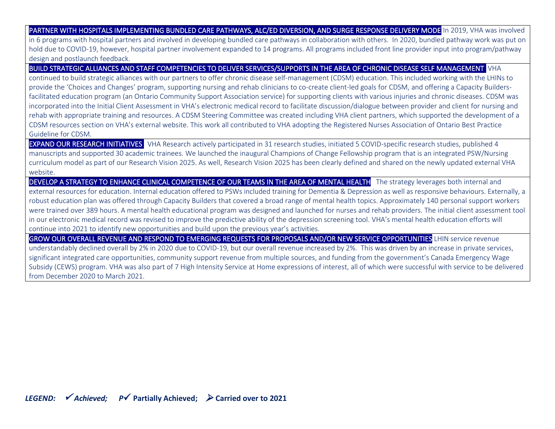PARTNER WITH HOSPITALS IMPLEMENTING BUNDLED CARE PATHWAYS, ALC/ED DIVERSION, AND SURGE RESPONSE DELIVERY MODE In 2019, VHA was involved in 6 programs with hospital partners and involved in developing bundled care pathways in collaboration with others. In 2020, bundled pathway work was put on hold due to COVID-19, however, hospital partner involvement expanded to 14 programs. All programs included front line provider input into program/pathway design and postlaunch feedback.

BUILD STRATEGIC ALLIANCES AND STAFF COMPETENCIES TO DELIVER SERVICES/SUPPORTS IN THE AREA OF CHRONIC DISEASE SELF MANAGEMENT VHA

continued to build strategic alliances with our partners to offer chronic disease self-management (CDSM) education. This included working with the LHINs to provide the 'Choices and Changes' program, supporting nursing and rehab clinicians to co-create client-led goals for CDSM, and offering a Capacity Buildersfacilitated education program (an Ontario Community Support Association service) for supporting clients with various injuries and chronic diseases. CDSM was incorporated into the Initial Client Assessment in VHA's electronic medical record to facilitate discussion/dialogue between provider and client for nursing and rehab with appropriate training and resources. A CDSM Steering Committee was created including VHA client partners, which supported the development of a CDSM resources section on VHA's external website. This work all contributed to VHA adopting the Registered Nurses Association of Ontario Best Practice Guideline for CDSM.

**EXPAND OUR RESEARCH INITIATIVES** VHA Research actively participated in 31 research studies, initiated 5 COVID-specific research studies, published 4 manuscripts and supported 30 academic trainees. We launched the inaugural Champions of Change Fellowship program that is an integrated PSW/Nursing curriculum model as part of our Research Vision 2025. As well, Research Vision 2025 has been clearly defined and shared on the newly updated external VHA website.

DEVELOP A STRATEGY TO ENHANCE CLINICAL COMPETENCE OF OUR TEAMS IN THE AREA OF MENTAL HEALTH The strategy leverages both internal and external resources for education. Internal education offered to PSWs included training for Dementia & Depression as well as responsive behaviours. Externally, a robust education plan was offered through Capacity Builders that covered a broad range of mental health topics. Approximately 140 personal support workers were trained over 389 hours. A mental health educational program was designed and launched for nurses and rehab providers. The initial client assessment tool in our electronic medical record was revised to improve the predictive ability of the depression screening tool. VHA's mental health education efforts will continue into 2021 to identify new opportunities and build upon the previous year's activities.

GROW OUR OVERALL REVENUE AND RESPOND TO EMERGING REQUESTS FOR PROPOSALS AND/OR NEW SERVICE OPPORTUNITIES LHIN service revenue understandably declined overall by 2% in 2020 due to COVID-19, but our overall revenue increased by 2%. This was driven by an increase in private services, significant integrated care opportunities, community support revenue from multiple sources, and funding from the government's Canada Emergency Wage Subsidy (CEWS) program. VHA was also part of 7 High Intensity Service at Home expressions of interest, all of which were successful with service to be delivered from December 2020 to March 2021.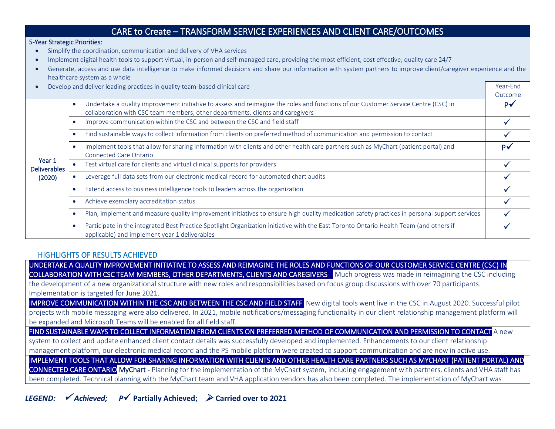| CARE to Create - TRANSFORM SERVICE EXPERIENCES AND CLIENT CARE/OUTCOMES                                                                                                                                                                                                                                                                                                                                                                                             |                                                                                                                                                                                                                                   |                     |  |  |
|---------------------------------------------------------------------------------------------------------------------------------------------------------------------------------------------------------------------------------------------------------------------------------------------------------------------------------------------------------------------------------------------------------------------------------------------------------------------|-----------------------------------------------------------------------------------------------------------------------------------------------------------------------------------------------------------------------------------|---------------------|--|--|
| 5-Year Strategic Priorities:<br>Simplify the coordination, communication and delivery of VHA services<br>Implement digital health tools to support virtual, in-person and self-managed care, providing the most efficient, cost effective, quality care 24/7<br>Generate, access and use data intelligence to make informed decisions and share our information with system partners to improve client/caregiver experience and the<br>healthcare system as a whole |                                                                                                                                                                                                                                   |                     |  |  |
|                                                                                                                                                                                                                                                                                                                                                                                                                                                                     | Develop and deliver leading practices in quality team-based clinical care                                                                                                                                                         | Year-End<br>Outcome |  |  |
| Year 1<br><b>Deliverables</b><br>(2020)                                                                                                                                                                                                                                                                                                                                                                                                                             | Undertake a quality improvement initiative to assess and reimagine the roles and functions of our Customer Service Centre (CSC) in<br>$\bullet$<br>collaboration with CSC team members, other departments, clients and caregivers | $P\checkmark$       |  |  |
|                                                                                                                                                                                                                                                                                                                                                                                                                                                                     | Improve communication within the CSC and between the CSC and field staff<br>$\bullet$                                                                                                                                             |                     |  |  |
|                                                                                                                                                                                                                                                                                                                                                                                                                                                                     | Find sustainable ways to collect information from clients on preferred method of communication and permission to contact<br>$\bullet$                                                                                             |                     |  |  |
|                                                                                                                                                                                                                                                                                                                                                                                                                                                                     | Implement tools that allow for sharing information with clients and other health care partners such as MyChart (patient portal) and<br>$\bullet$<br>Connected Care Ontario                                                        | P√                  |  |  |
|                                                                                                                                                                                                                                                                                                                                                                                                                                                                     | Test virtual care for clients and virtual clinical supports for providers                                                                                                                                                         |                     |  |  |
|                                                                                                                                                                                                                                                                                                                                                                                                                                                                     | Leverage full data sets from our electronic medical record for automated chart audits<br>$\bullet$                                                                                                                                |                     |  |  |
|                                                                                                                                                                                                                                                                                                                                                                                                                                                                     | Extend access to business intelligence tools to leaders across the organization<br>$\bullet$                                                                                                                                      |                     |  |  |
|                                                                                                                                                                                                                                                                                                                                                                                                                                                                     | Achieve exemplary accreditation status<br>$\bullet$                                                                                                                                                                               |                     |  |  |
|                                                                                                                                                                                                                                                                                                                                                                                                                                                                     | Plan, implement and measure quality improvement initiatives to ensure high quality medication safety practices in personal support services<br>$\bullet$                                                                          |                     |  |  |
|                                                                                                                                                                                                                                                                                                                                                                                                                                                                     | Participate in the integrated Best Practice Spotlight Organization initiative with the East Toronto Ontario Health Team (and others if<br>$\bullet$<br>applicable) and implement year 1 deliverables                              |                     |  |  |

#### HIGHLIGHTS OF RESULTS ACHIEVED

UNDERTAKE A QUALITY IMPROVEMENT INITIATIVE TO ASSESS AND REIMAGINE THE ROLES AND FUNCTIONS OF OUR CUSTOMER SERVICE CENTRE (CSC) IN COLLABORATION WITH CSC TEAM MEMBERS, OTHER DEPARTMENTS, CLIENTS AND CAREGIVERS Much progress was made in reimagining the CSC including the development of a new organizational structure with new roles and responsibilities based on focus group discussions with over 70 participants. Implementation is targeted for June 2021.

IMPROVE COMMUNICATION WITHIN THE CSC AND BETWEEN THE CSC AND FIELD STAFF New digital tools went live in the CSC in August 2020. Successful pilot projects with mobile messaging were also delivered. In 2021, mobile notifications/messaging functionality in our client relationship management platform will be expanded and Microsoft Teams will be enabled for all field staff.

FIND SUSTAINABLE WAYS TO COLLECT INFORMATION FROM CLIENTS ON PREFERRED METHOD OF COMMUNICATION AND PERMISSION TO CONTACT A new

system to collect and update enhanced client contact details was successfully developed and implemented. Enhancements to our client relationship management platform, our electronic medical record and the PS mobile platform were created to support communication and are now in active use. IMPLEMENT TOOLS THAT ALLOW FOR SHARING INFORMATION WITH CLIENTS AND OTHER HEALTH CARE PARTNERS SUCH AS MYCHART (PATIENT PORTAL) AND CONNECTED CARE ONTARIO MyChart - Planning for the implementation of the MyChart system, including engagement with partners, clients and VHA staff has been completed. Technical planning with the MyChart team and VHA application vendors has also been completed. The implementation of MyChart was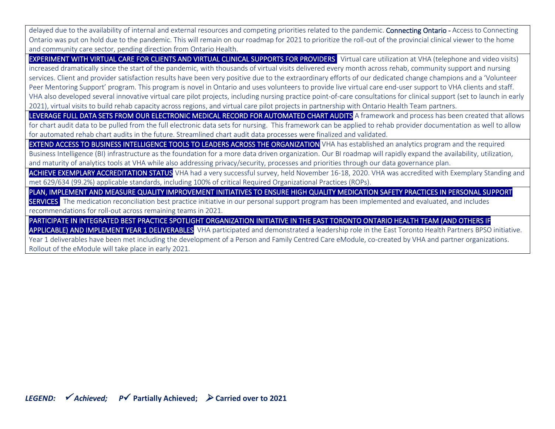delayed due to the availability of internal and external resources and competing priorities related to the pandemic. Connecting Ontario - Access to Connecting Ontario was put on hold due to the pandemic. This will remain on our roadmap for 2021 to prioritize the roll-out of the provincial clinical viewer to the home and community care sector, pending direction from Ontario Health.

EXPERIMENT WITH VIRTUAL CARE FOR CLIENTS AND VIRTUAL CLINICAL SUPPORTS FOR PROVIDERS Virtual care utilization at VHA (telephone and video visits) increased dramatically since the start of the pandemic, with thousands of virtual visits delivered every month across rehab, community support and nursing services. Client and provider satisfaction results have been very positive due to the extraordinary efforts of our dedicated change champions and a 'Volunteer Peer Mentoring Support' program. This program is novel in Ontario and uses volunteers to provide live virtual care end-user support to VHA clients and staff. VHA also developed several innovative virtual care pilot projects, including nursing practice point-of-care consultations for clinical support (set to launch in early 2021), virtual visits to build rehab capacity across regions, and virtual care pilot projects in partnership with Ontario Health Team partners.

LEVERAGE FULL DATA SETS FROM OUR ELECTRONIC MEDICAL RECORD FOR AUTOMATED CHART AUDITS A framework and process has been created that allows for chart audit data to be pulled from the full electronic data sets for nursing. This framework can be applied to rehab provider documentation as well to allow for automated rehab chart audits in the future. Streamlined chart audit data processes were finalized and validated.

EXTEND ACCESS TO BUSINESS INTELLIGENCE TOOLS TO LEADERS ACROSS THE ORGANIZATION VHA has established an analytics program and the required Business Intelligence (BI) infrastructure as the foundation for a more data driven organization. Our BI roadmap will rapidly expand the availability, utilization, and maturity of analytics tools at VHA while also addressing privacy/security, processes and priorities through our data governance plan.

ACHIEVE EXEMPLARY ACCREDITATION STATUS VHA had a very successful survey, held November 16-18, 2020. VHA was accredited with Exemplary Standing and met 629/634 (99.2%) applicable standards, including 100% of critical Required Organizational Practices (ROPs).

PLAN, IMPLEMENT AND MEASURE QUALITY IMPROVEMENT INITIATIVES TO ENSURE HIGH QUALITY MEDICATION SAFETY PRACTICES IN PERSONAL SUPPORT SERVICES The medication reconciliation best practice initiative in our personal support program has been implemented and evaluated, and includes recommendations for roll-out across remaining teams in 2021.

PARTICIPATE IN INTEGRATED BEST PRACTICE SPOTLIGHT ORGANIZATION INITIATIVE IN THE EAST TORONTO ONTARIO HEALTH TEAM (AND OTHERS IF APPLICABLE) AND IMPLEMENT YEAR 1 DELIVERABLES VHA participated and demonstrated a leadership role in the East Toronto Health Partners BPSO initiative.

Year 1 deliverables have been met including the development of a Person and Family Centred Care eModule, co-created by VHA and partner organizations. Rollout of the eModule will take place in early 2021.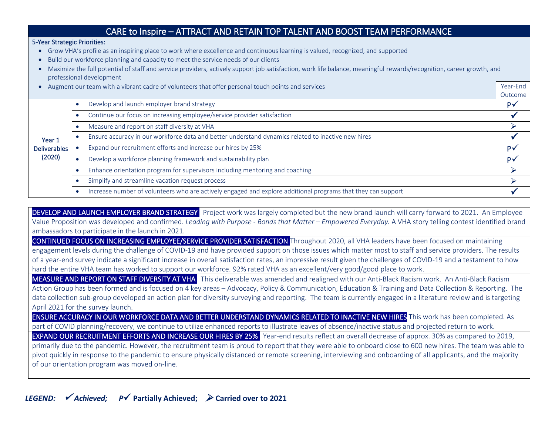### CARE to Inspire – ATTRACT AND RETAIN TOP TALENT AND BOOST TEAM PERFORMANCE

#### 5-Year Strategic Priorities:

- Grow VHA's profile as an inspiring place to work where excellence and continuous learning is valued, recognized, and supported
- Build our workforce planning and capacity to meet the service needs of our clients
- Maximize the full potential of staff and service providers, actively support job satisfaction, work life balance, meaningful rewards/recognition, career growth, and professional development

Outcome

• Augment our team with a vibrant cadre of volunteers that offer personal touch points and services Year-End Year 1 Deliverables (2020) • Develop and launch employer brand strategy P✓ • Continue our focus on increasing employee/service provider satisfaction  $\checkmark$ • Measure and report on staff diversity at VHA ➢ Ensure accuracy in our workforce data and better understand dynamics related to inactive new hires • Expand our recruitment efforts and increase our hires by 25% P $\overline{P}$ • Develop a workforce planning framework and sustainability plan  $P\checkmark$ • Enhance orientation program for supervisors including mentoring and coaching  $\Box$ • Simplify and streamline vacation request process  $\Box$ • Increase number of volunteers who are actively engaged and explore additional programs that they can support

DEVELOP AND LAUNCH EMPLOYER BRAND STRATEGY Project work was largely completed but the new brand launch will carry forward to 2021. An Employee Value Proposition was developed and confirmed. *Leading with Purpose* - *Bonds that Matter* – *Empowered Everyday.* A VHA story telling contest identified brand ambassadors to participate in the launch in 2021. CONTINUED FOCUS ON INCREASING EMPLOYEE/SERVICE PROVIDER SATISFACTION Throughout 2020, all VHA leaders have been focused on maintaining engagement levels during the challenge of COVID-19 and have provided support on those issues which matter most to staff and service providers. The results of a year-end survey indicate a significant increase in overall satisfaction rates, an impressive result given the challenges of COVID-19 and a testament to how hard the entire VHA team has worked to support our workforce. 92% rated VHA as an excellent/very good/good place to work. MEASURE AND REPORT ON STAFF DIVERSITY AT VHA This deliverable was amended and realigned with our Anti-Black Racism work. An Anti-Black Racism

Action Group has been formed and is focused on 4 key areas – Advocacy, Policy & Communication, Education & Training and Data Collection & Reporting. The data collection sub-group developed an action plan for diversity surveying and reporting. The team is currently engaged in a literature review and is targeting April 2021 for the survey launch.

ENSURE ACCURACY IN OUR WORKFORCE DATA AND BETTER UNDERSTAND DYNAMICS RELATED TO INACTIVE NEW HIRES This work has been completed. As part of COVID planning/recovery, we continue to utilize enhanced reports to illustrate leaves of absence/inactive status and projected return to work.

**EXPAND OUR RECRUITMENT EFFORTS AND INCREASE OUR HIRES BY 25%** Year-end results reflect an overall decrease of approx. 30% as compared to 2019, primarily due to the pandemic. However, the recruitment team is proud to report that they were able to onboard close to 600 new hires. The team was able to pivot quickly in response to the pandemic to ensure physically distanced or remote screening, interviewing and onboarding of all applicants, and the majority of our orientation program was moved on-line.